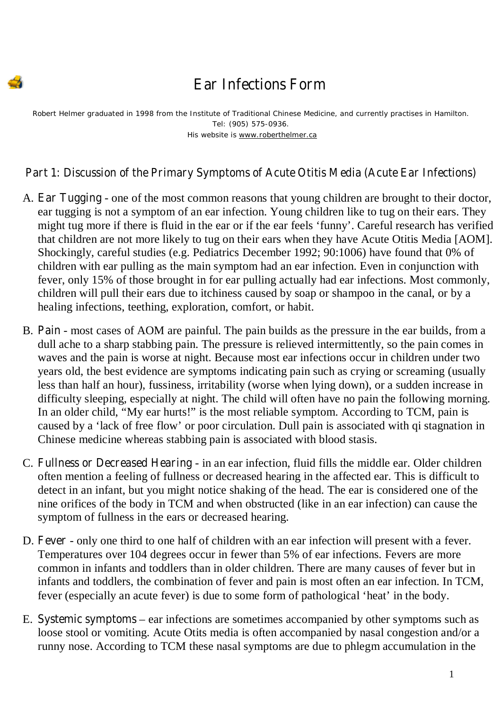## Ear Infections Form

*Robert Helmer graduated in 1998 from the Institute of Traditional Chinese Medicine, and currently practises in Hamilton. Tel: (905) 575-0936. His website is www.roberthelmer.ca*

## Part 1: Discussion of the Primary Symptoms of Acute Otitis Media (Acute Ear Infections)

- A. **Ear Tugging** one of the most common reasons that young children are brought to their doctor, ear tugging is not a symptom of an ear infection. Young children like to tug on their ears. They might tug more if there is fluid in the ear or if the ear feels 'funny'. Careful research has verified that children are not more likely to tug on their ears when they have Acute Otitis Media [AOM]. Shockingly, careful studies (e.g. Pediatrics December 1992; 90:1006) have found that 0% of children with ear pulling as the main symptom had an ear infection. Even in conjunction with fever, only 15% of those brought in for ear pulling actually had ear infections. Most commonly, children will pull their ears due to itchiness caused by soap or shampoo in the canal, or by a healing infections, teething, exploration, comfort, or habit.
- B. **Pain** most cases of AOM are painful. The pain builds as the pressure in the ear builds, from a dull ache to a sharp stabbing pain. The pressure is relieved intermittently, so the pain comes in waves and the pain is worse at night. Because most ear infections occur in children under two years old, the best evidence are symptoms indicating pain such as crying or screaming (usually less than half an hour), fussiness, irritability (worse when lying down), or a sudden increase in difficulty sleeping, especially at night. The child will often have no pain the following morning. In an older child, "My ear hurts!" is the most reliable symptom. According to TCM, pain is caused by a 'lack of free flow' or poor circulation. Dull pain is associated with qi stagnation in Chinese medicine whereas stabbing pain is associated with blood stasis.
- C. Fullness or Decreased Hearing in an ear infection, fluid fills the middle ear. Older children often mention a feeling of fullness or decreased hearing in the affected ear. This is difficult to detect in an infant, but you might notice shaking of the head. The ear is considered one of the nine orifices of the body in TCM and when obstructed (like in an ear infection) can cause the symptom of fullness in the ears or decreased hearing.
- D. **Fever** only one third to one half of children with an ear infection will present with a fever. Temperatures over 104 degrees occur in fewer than 5% of ear infections. Fevers are more common in infants and toddlers than in older children. There are many causes of fever but in infants and toddlers, the combination of fever and pain is most often an ear infection. In TCM, fever (especially an acute fever) is due to some form of pathological 'heat' in the body.
- E. Systemic symptoms ear infections are sometimes accompanied by other symptoms such as loose stool or vomiting. Acute Otits media is often accompanied by nasal congestion and/or a runny nose. According to TCM these nasal symptoms are due to phlegm accumulation in the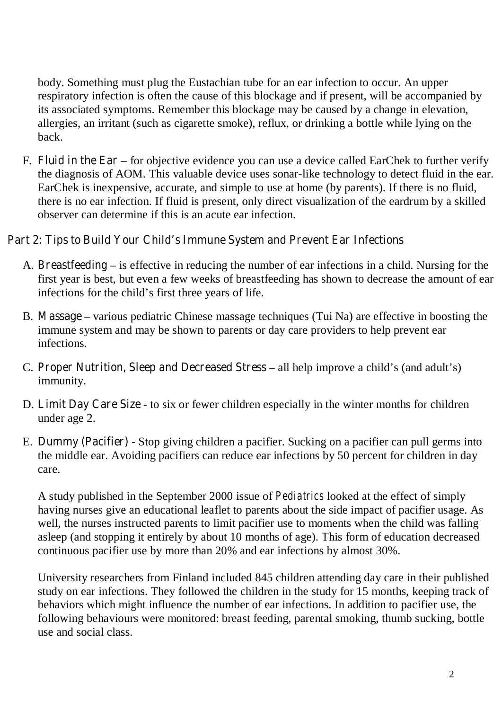body. Something must plug the Eustachian tube for an ear infection to occur. An upper respiratory infection is often the cause of this blockage and if present, will be accompanied by its associated symptoms. Remember this blockage may be caused by a change in elevation, allergies, an irritant (such as cigarette smoke), reflux, or drinking a bottle while lying on the back.

F. Fluid in the Ear – for objective evidence you can use a device called EarChek to further verify the diagnosis of AOM. This valuable device uses sonar-like technology to detect fluid in the ear. EarChek is inexpensive, accurate, and simple to use at home (by parents). If there is no fluid, there is no ear infection. If fluid is present, only direct visualization of the eardrum by a skilled observer can determine if this is an acute ear infection.

## Part 2: Tips to Build Your Child's Immune System and Prevent Ear Infections

- A. Breastfeeding is effective in reducing the number of ear infections in a child. Nursing for the first year is best, but even a few weeks of breastfeeding has shown to decrease the amount of ear infections for the child's first three years of life.
- B. Massage various pediatric Chinese massage techniques (Tui Na) are effective in boosting the immune system and may be shown to parents or day care providers to help prevent ear infections.
- C. Proper Nutrition, Sleep and Decreased Stress all help improve a child's (and adult's) immunity.
- D. Limit Day Care Size to six or fewer children especially in the winter months for children under age 2.
- E. Dummy (Pacifier) Stop giving children a pacifier. Sucking on a pacifier can pull germs into the middle ear. Avoiding pacifiers can reduce ear infections by 50 percent for children in day care.

A study published in the September 2000 issue of *Pediatrics* looked at the effect of simply having nurses give an educational leaflet to parents about the side impact of pacifier usage. As well, the nurses instructed parents to limit pacifier use to moments when the child was falling asleep (and stopping it entirely by about 10 months of age). This form of education decreased continuous pacifier use by more than 20% and ear infections by almost 30%.

University researchers from Finland included 845 children attending day care in their published study on ear infections. They followed the children in the study for 15 months, keeping track of behaviors which might influence the number of ear infections. In addition to pacifier use, the following behaviours were monitored: breast feeding, parental smoking, thumb sucking, bottle use and social class.